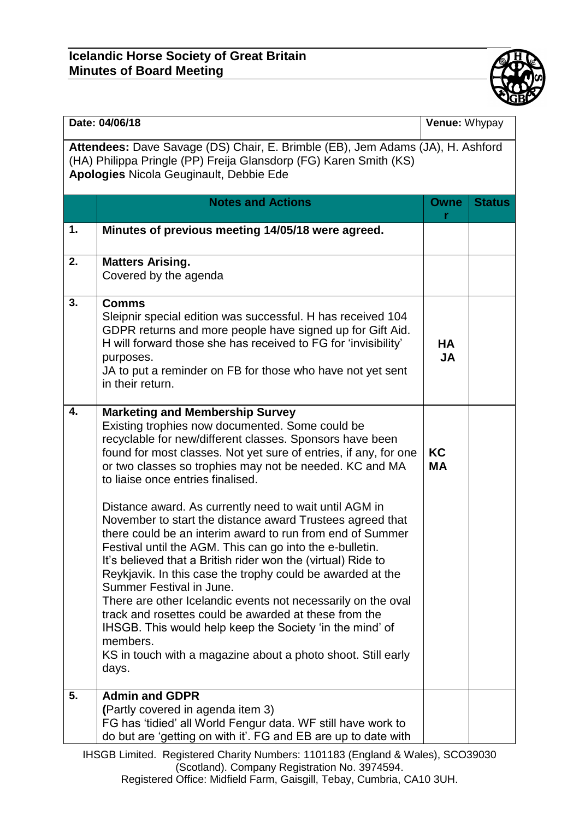## **Icelandic Horse Society of Great Britain Minutes of Board Meeting**



| Date: 04/06/18                                                                                                                                                                                        |                                                                                                                                                                                                                                                                                                                                                                                                                                                                                                                                                                                                                                                                                                                                                                                                                                                                                                                                                                                                               |                        | Venue: Whypay |  |  |  |  |
|-------------------------------------------------------------------------------------------------------------------------------------------------------------------------------------------------------|---------------------------------------------------------------------------------------------------------------------------------------------------------------------------------------------------------------------------------------------------------------------------------------------------------------------------------------------------------------------------------------------------------------------------------------------------------------------------------------------------------------------------------------------------------------------------------------------------------------------------------------------------------------------------------------------------------------------------------------------------------------------------------------------------------------------------------------------------------------------------------------------------------------------------------------------------------------------------------------------------------------|------------------------|---------------|--|--|--|--|
| Attendees: Dave Savage (DS) Chair, E. Brimble (EB), Jem Adams (JA), H. Ashford<br>(HA) Philippa Pringle (PP) Freija Glansdorp (FG) Karen Smith (KS)<br><b>Apologies Nicola Geuginault, Debbie Ede</b> |                                                                                                                                                                                                                                                                                                                                                                                                                                                                                                                                                                                                                                                                                                                                                                                                                                                                                                                                                                                                               |                        |               |  |  |  |  |
|                                                                                                                                                                                                       | <b>Notes and Actions</b>                                                                                                                                                                                                                                                                                                                                                                                                                                                                                                                                                                                                                                                                                                                                                                                                                                                                                                                                                                                      | Owne<br>r              | <b>Status</b> |  |  |  |  |
| 1.                                                                                                                                                                                                    | Minutes of previous meeting 14/05/18 were agreed.                                                                                                                                                                                                                                                                                                                                                                                                                                                                                                                                                                                                                                                                                                                                                                                                                                                                                                                                                             |                        |               |  |  |  |  |
| 2.                                                                                                                                                                                                    | <b>Matters Arising.</b><br>Covered by the agenda                                                                                                                                                                                                                                                                                                                                                                                                                                                                                                                                                                                                                                                                                                                                                                                                                                                                                                                                                              |                        |               |  |  |  |  |
| 3.                                                                                                                                                                                                    | <b>Comms</b><br>Sleipnir special edition was successful. H has received 104<br>GDPR returns and more people have signed up for Gift Aid.<br>H will forward those she has received to FG for 'invisibility'<br>purposes.<br>JA to put a reminder on FB for those who have not yet sent<br>in their return.                                                                                                                                                                                                                                                                                                                                                                                                                                                                                                                                                                                                                                                                                                     | НA<br><b>JA</b>        |               |  |  |  |  |
| 4.                                                                                                                                                                                                    | <b>Marketing and Membership Survey</b><br>Existing trophies now documented. Some could be<br>recyclable for new/different classes. Sponsors have been<br>found for most classes. Not yet sure of entries, if any, for one<br>or two classes so trophies may not be needed. KC and MA<br>to liaise once entries finalised.<br>Distance award. As currently need to wait until AGM in<br>November to start the distance award Trustees agreed that<br>there could be an interim award to run from end of Summer<br>Festival until the AGM. This can go into the e-bulletin.<br>It's believed that a British rider won the (virtual) Ride to<br>Reykjavik. In this case the trophy could be awarded at the<br>Summer Festival in June.<br>There are other Icelandic events not necessarily on the oval<br>track and rosettes could be awarded at these from the<br>IHSGB. This would help keep the Society 'in the mind' of<br>members.<br>KS in touch with a magazine about a photo shoot. Still early<br>days. | <b>KC</b><br><b>MA</b> |               |  |  |  |  |
| 5.                                                                                                                                                                                                    | <b>Admin and GDPR</b><br>(Partly covered in agenda item 3)<br>FG has 'tidied' all World Fengur data. WF still have work to<br>do but are 'getting on with it'. FG and EB are up to date with                                                                                                                                                                                                                                                                                                                                                                                                                                                                                                                                                                                                                                                                                                                                                                                                                  |                        |               |  |  |  |  |

IHSGB Limited. Registered Charity Numbers: 1101183 (England & Wales), SCO39030 (Scotland). Company Registration No. 3974594. Registered Office: Midfield Farm, Gaisgill, Tebay, Cumbria, CA10 3UH.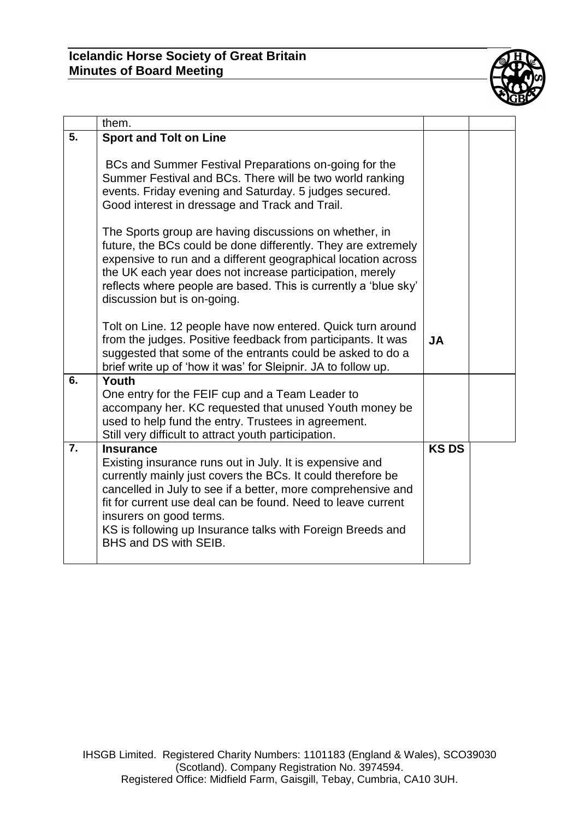

| them.                                                                                                                                                                                                                                                                                                                                                                                         |                                                                                                             |  |
|-----------------------------------------------------------------------------------------------------------------------------------------------------------------------------------------------------------------------------------------------------------------------------------------------------------------------------------------------------------------------------------------------|-------------------------------------------------------------------------------------------------------------|--|
| <b>Sport and Tolt on Line</b>                                                                                                                                                                                                                                                                                                                                                                 |                                                                                                             |  |
| BCs and Summer Festival Preparations on-going for the<br>Summer Festival and BCs. There will be two world ranking<br>events. Friday evening and Saturday. 5 judges secured.<br>Good interest in dressage and Track and Trail.                                                                                                                                                                 |                                                                                                             |  |
| The Sports group are having discussions on whether, in<br>future, the BCs could be done differently. They are extremely<br>expensive to run and a different geographical location across<br>the UK each year does not increase participation, merely<br>reflects where people are based. This is currently a 'blue sky'<br>discussion but is on-going.                                        |                                                                                                             |  |
| Tolt on Line. 12 people have now entered. Quick turn around<br>from the judges. Positive feedback from participants. It was<br>suggested that some of the entrants could be asked to do a<br>brief write up of 'how it was' for Sleipnir. JA to follow up.                                                                                                                                    | <b>JA</b>                                                                                                   |  |
| Youth<br>One entry for the FEIF cup and a Team Leader to<br>accompany her. KC requested that unused Youth money be                                                                                                                                                                                                                                                                            |                                                                                                             |  |
|                                                                                                                                                                                                                                                                                                                                                                                               |                                                                                                             |  |
| <b>Insurance</b><br>Existing insurance runs out in July. It is expensive and<br>currently mainly just covers the BCs. It could therefore be<br>cancelled in July to see if a better, more comprehensive and<br>fit for current use deal can be found. Need to leave current<br>insurers on good terms.<br>KS is following up Insurance talks with Foreign Breeds and<br>BHS and DS with SEIB. | <b>KSDS</b>                                                                                                 |  |
|                                                                                                                                                                                                                                                                                                                                                                                               | used to help fund the entry. Trustees in agreement.<br>Still very difficult to attract youth participation. |  |